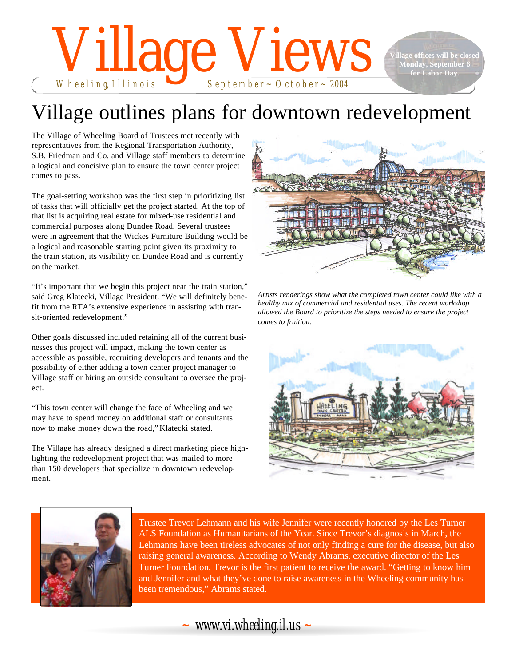# Wheeling, Illinois September~October~2004

**Hage offices will be clos Monday, September 6 for Labor Day.**

# Village outlines plans for downtown redevelopment

The Village of Wheeling Board of Trustees met recently with representatives from the Regional Transportation Authority, S.B. Friedman and Co. and Village staff members to determine a logical and concisive plan to ensure the town center project comes to pass.

The goal-setting workshop was the first step in prioritizing list of tasks that will officially get the project started. At the top of that list is acquiring real estate for mixed-use residential and commercial purposes along Dundee Road. Several trustees were in agreement that the Wickes Furniture Building would be a logical and reasonable starting point given its proximity to the train station, its visibility on Dundee Road and is currently on the market.

"It's important that we begin this project near the train station," said Greg Klatecki, Village President. "We will definitely benefit from the RTA's extensive experience in assisting with transit-oriented redevelopment."

Other goals discussed included retaining all of the current businesses this project will impact, making the town center as accessible as possible, recruiting developers and tenants and the possibility of either adding a town center project manager to Village staff or hiring an outside consultant to oversee the project.

"This town center will change the face of Wheeling and we may have to spend money on additional staff or consultants now to make money down the road," Klatecki stated.

The Village has already designed a direct marketing piece highlighting the redevelopment project that was mailed to more than 150 developers that specialize in downtown redevelopment.



*Artists renderings show what the completed town center could like with a healthy mix of commercial and residential uses. The recent workshop allowed the Board to prioritize the steps needed to ensure the project comes to fruition.*





Trustee Trevor Lehmann and his wife Jennifer were recently honored by the Les Turner ALS Foundation as Humanitarians of the Year. Since Trevor's diagnosis in March, the Lehmanns have been tireless advocates of not only finding a cure for the disease, but also raising general awareness. According to Wendy Abrams, executive director of the Les Turner Foundation, Trevor is the first patient to receive the award. "Getting to know him and Jennifer and what they've done to raise awareness in the Wheeling community has been tremendous," Abrams stated.

*~ www.vi.wheeling.il.us ~*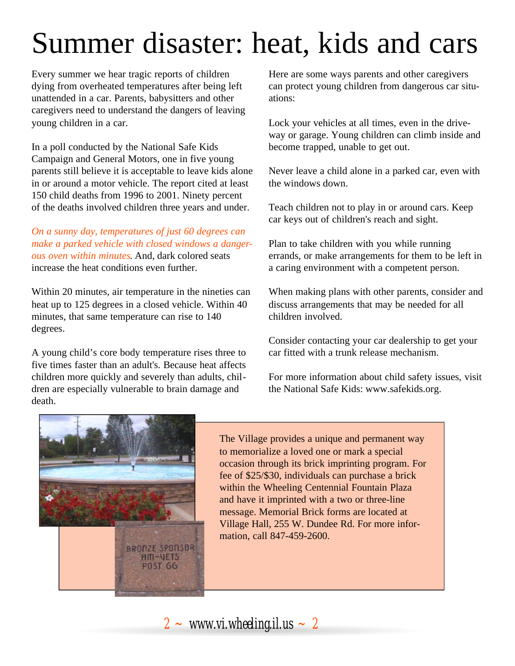# Summer disaster: heat, kids and cars

Every summer we hear tragic reports of children dying from overheated temperatures after being left unattended in a car. Parents, babysitters and other caregivers need to understand the dangers of leaving young children in a car.

In a poll conducted by the National Safe Kids Campaign and General Motors, one in five young parents still believe it is acceptable to leave kids alone in or around a motor vehicle. The report cited at least 150 child deaths from 1996 to 2001. Ninety percent of the deaths involved children three years and under.

*On a sunny day, temperatures of just 60 degrees can make a parked vehicle with closed windows a dangerous oven within minutes*. And, dark colored seats increase the heat conditions even further.

Within 20 minutes, air temperature in the nineties can heat up to 125 degrees in a closed vehicle. Within 40 minutes, that same temperature can rise to 140 degrees.

A young child's core body temperature rises three to five times faster than an adult's. Because heat affects children more quickly and severely than adults, children are especially vulnerable to brain damage and death.

Here are some ways parents and other caregivers can protect young children from dangerous car situations:

Lock your vehicles at all times, even in the driveway or garage. Young children can climb inside and become trapped, unable to get out.

Never leave a child alone in a parked car, even with the windows down.

Teach children not to play in or around cars. Keep car keys out of children's reach and sight.

Plan to take children with you while running errands, or make arrangements for them to be left in a caring environment with a competent person.

When making plans with other parents, consider and discuss arrangements that may be needed for all children involved.

Consider contacting your car dealership to get your car fitted with a trunk release mechanism.

For more information about child safety issues, visit the National Safe Kids: www.safekids.org.



The Village provides a unique and permanent way to memorialize a loved one or mark a special occasion through its brick imprinting program. For fee of \$25/\$30, individuals can purchase a brick within the Wheeling Centennial Fountain Plaza and have it imprinted with a two or three-line message. Memorial Brick forms are located at Village Hall, 255 W. Dundee Rd. For more information, call 847-459-2600.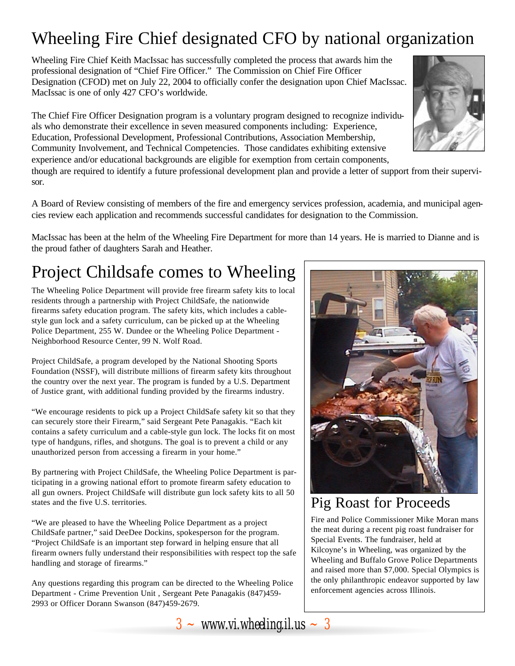# Wheeling Fire Chief designated CFO by national organization

Wheeling Fire Chief Keith MacIssac has successfully completed the process that awards him the professional designation of "Chief Fire Officer." The Commission on Chief Fire Officer Designation (CFOD) met on July 22, 2004 to officially confer the designation upon Chief MacIssac. MacIssac is one of only 427 CFO's worldwide.

The Chief Fire Officer Designation program is a voluntary program designed to recognize individuals who demonstrate their excellence in seven measured components including: Experience, Education, Professional Development, Professional Contributions, Association Membership, Community Involvement, and Technical Competencies. Those candidates exhibiting extensive experience and/or educational backgrounds are eligible for exemption from certain components,

though are required to identify a future professional development plan and provide a letter of support from their supervisor.

A Board of Review consisting of members of the fire and emergency services profession, academia, and municipal agencies review each application and recommends successful candidates for designation to the Commission.

MacIssac has been at the helm of the Wheeling Fire Department for more than 14 years. He is married to Dianne and is the proud father of daughters Sarah and Heather.

# Project Childsafe comes to Wheeling

The Wheeling Police Department will provide free firearm safety kits to local residents through a partnership with Project ChildSafe, the nationwide firearms safety education program. The safety kits, which includes a cablestyle gun lock and a safety curriculum, can be picked up at the Wheeling Police Department, 255 W. Dundee or the Wheeling Police Department - Neighborhood Resource Center, 99 N. Wolf Road.

Project ChildSafe, a program developed by the National Shooting Sports Foundation (NSSF), will distribute millions of firearm safety kits throughout the country over the next year. The program is funded by a U.S. Department of Justice grant, with additional funding provided by the firearms industry.

"We encourage residents to pick up a Project ChildSafe safety kit so that they can securely store their Firearm," said Sergeant Pete Panagakis. "Each kit contains a safety curriculum and a cable-style gun lock. The locks fit on most type of handguns, rifles, and shotguns. The goal is to prevent a child or any unauthorized person from accessing a firearm in your home."

By partnering with Project ChildSafe, the Wheeling Police Department is participating in a growing national effort to promote firearm safety education to all gun owners. Project ChildSafe will distribute gun lock safety kits to all 50 states and the five U.S. territories.

"We are pleased to have the Wheeling Police Department as a project ChildSafe partner," said DeeDee Dockins, spokesperson for the program. "Project ChildSafe is an important step forward in helping ensure that all firearm owners fully understand their responsibilities with respect top the safe handling and storage of firearms."

Any questions regarding this program can be directed to the Wheeling Police Department - Crime Prevention Unit , Sergeant Pete Panagakis (847)459- 2993 or Officer Dorann Swanson (847)459-2679.

 $3 \sim$  *www.vi.wheeling.il.us*  $\sim 3$ 



## Pig Roast for Proceeds

Fire and Police Commissioner Mike Moran mans the meat during a recent pig roast fundraiser for Special Events. The fundraiser, held at Kilcoyne's in Wheeling, was organized by the Wheeling and Buffalo Grove Police Departments and raised more than \$7,000. Special Olympics is the only philanthropic endeavor supported by law enforcement agencies across Illinois.

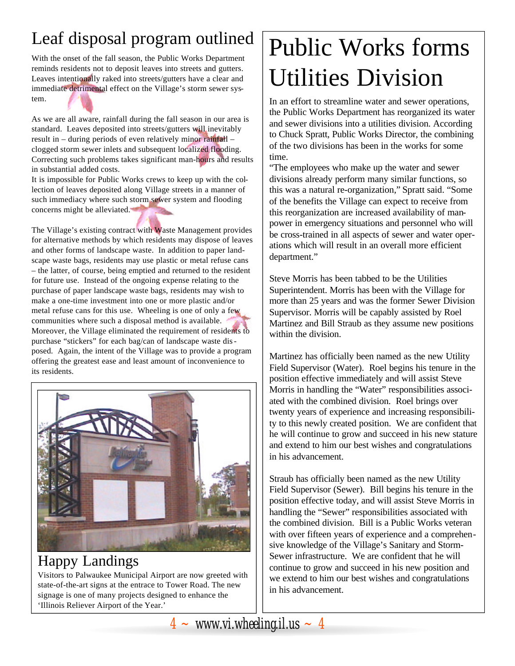# Leaf disposal program outlined

With the onset of the fall season, the Public Works Department reminds residents not to deposit leaves into streets and gutters. Leaves intentionally raked into streets/gutters have a clear and immediate detrimental effect on the Village's storm sewer system.

As we are all aware, rainfall during the fall season in our area is standard. Leaves deposited into streets/gutters will inevitably result in – during periods of even relatively minor rainfall – clogged storm sewer inlets and subsequent localized flooding. Correcting such problems takes significant man-hours and results in substantial added costs.

It is impossible for Public Works crews to keep up with the collection of leaves deposited along Village streets in a manner of such immediacy where such storm sewer system and flooding concerns might be alleviated.

The Village's existing contract with Waste Management provides for alternative methods by which residents may dispose of leaves and other forms of landscape waste. In addition to paper landscape waste bags, residents may use plastic or metal refuse cans – the latter, of course, being emptied and returned to the resident for future use. Instead of the ongoing expense relating to the purchase of paper landscape waste bags, residents may wish to make a one-time investment into one or more plastic and/or metal refuse cans for this use. Wheeling is one of only a few communities where such a disposal method is available. Moreover, the Village eliminated the requirement of residents to purchase "stickers" for each bag/can of landscape waste disposed. Again, the intent of the Village was to provide a program offering the greatest ease and least amount of inconvenience to its residents.



# Happy Landings

Visitors to Palwaukee Municipal Airport are now greeted with state-of-the-art signs at the entrace to Tower Road. The new signage is one of many projects designed to enhance the 'Illinois Reliever Airport of the Year.'

# Public Works forms Utilities Division

In an effort to streamline water and sewer operations, the Public Works Department has reorganized its water and sewer divisions into a utilities division. According to Chuck Spratt, Public Works Director, the combining of the two divisions has been in the works for some time.

"The employees who make up the water and sewer divisions already perform many similar functions, so this was a natural re-organization," Spratt said. "Some of the benefits the Village can expect to receive from this reorganization are increased availability of manpower in emergency situations and personnel who will be cross-trained in all aspects of sewer and water operations which will result in an overall more efficient department."

Steve Morris has been tabbed to be the Utilities Superintendent. Morris has been with the Village for more than 25 years and was the former Sewer Division Supervisor. Morris will be capably assisted by Roel Martinez and Bill Straub as they assume new positions within the division.

Martinez has officially been named as the new Utility Field Supervisor (Water). Roel begins his tenure in the position effective immediately and will assist Steve Morris in handling the "Water" responsibilities associated with the combined division. Roel brings over twenty years of experience and increasing responsibility to this newly created position. We are confident that he will continue to grow and succeed in his new stature and extend to him our best wishes and congratulations in his advancement.

Straub has officially been named as the new Utility Field Supervisor (Sewer). Bill begins his tenure in the position effective today, and will assist Steve Morris in handling the "Sewer" responsibilities associated with the combined division. Bill is a Public Works veteran with over fifteen years of experience and a comprehensive knowledge of the Village's Sanitary and Storm-Sewer infrastructure. We are confident that he will continue to grow and succeed in his new position and we extend to him our best wishes and congratulations in his advancement.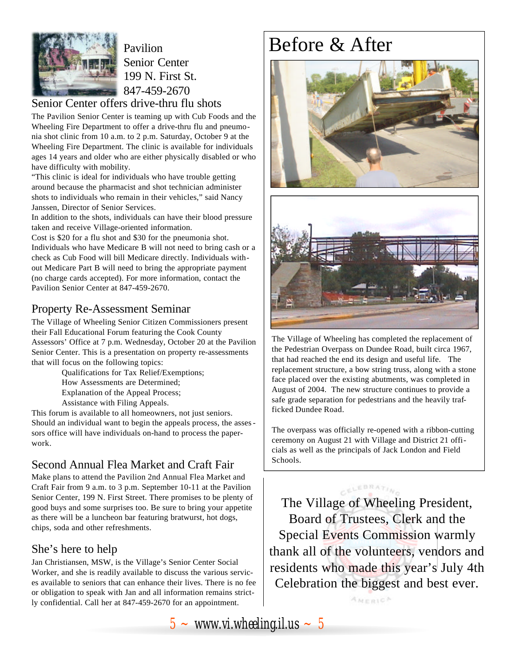

Pavilion Senior Center 199 N. First St. 847-459-2670

## Senior Center offers drive-thru flu shots

The Pavilion Senior Center is teaming up with Cub Foods and the Wheeling Fire Department to offer a drive-thru flu and pneumonia shot clinic from 10 a.m. to 2 p.m. Saturday, October 9 at the Wheeling Fire Department. The clinic is available for individuals ages 14 years and older who are either physically disabled or who have difficulty with mobility.

"This clinic is ideal for individuals who have trouble getting around because the pharmacist and shot technician administer shots to individuals who remain in their vehicles," said Nancy Janssen, Director of Senior Services.

In addition to the shots, individuals can have their blood pressure taken and receive Village-oriented information.

Cost is \$20 for a flu shot and \$30 for the pneumonia shot. Individuals who have Medicare B will not need to bring cash or a check as Cub Food will bill Medicare directly. Individuals without Medicare Part B will need to bring the appropriate payment (no charge cards accepted). For more information, contact the Pavilion Senior Center at 847-459-2670.

## Property Re-Assessment Seminar

The Village of Wheeling Senior Citizen Commissioners present their Fall Educational Forum featuring the Cook County Assessors' Office at 7 p.m. Wednesday, October 20 at the Pavilion Senior Center. This is a presentation on property re-assessments that will focus on the following topics:

Qualifications for Tax Relief/Exemptions; How Assessments are Determined; Explanation of the Appeal Process; Assistance with Filing Appeals.

This forum is available to all homeowners, not just seniors. Should an individual want to begin the appeals process, the assessors office will have individuals on-hand to process the paperwork.

## Second Annual Flea Market and Craft Fair

Make plans to attend the Pavilion 2nd Annual Flea Market and Craft Fair from 9 a.m. to 3 p.m. September 10-11 at the Pavilion Senior Center, 199 N. First Street. There promises to be plenty of good buys and some surprises too. Be sure to bring your appetite as there will be a luncheon bar featuring bratwurst, hot dogs, chips, soda and other refreshments.

## She's here to help

Jan Christiansen, MSW, is the Village's Senior Center Social Worker, and she is readily available to discuss the various services available to seniors that can enhance their lives. There is no fee or obligation to speak with Jan and all information remains strictly confidential. Call her at 847-459-2670 for an appointment.

# Before & After





The Village of Wheeling has completed the replacement of the Pedestrian Overpass on Dundee Road, built circa 1967, that had reached the end its design and useful life. The replacement structure, a bow string truss, along with a stone face placed over the existing abutments, was completed in August of 2004. The new structure continues to provide a safe grade separation for pedestrians and the heavily trafficked Dundee Road.

The overpass was officially re-opened with a ribbon-cutting ceremony on August 21 with Village and District 21 officials as well as the principals of Jack London and Field Schools.

CELEBRATIN

The Village of Wheeling President, Board of Trustees, Clerk and the Special Events Commission warmly thank all of the volunteers, vendors and residents who made this year's July 4th Celebration the biggest and best ever.

AMERICA

 $5 \sim$  *www.vi.wheeling.il.us*  $\sim 5$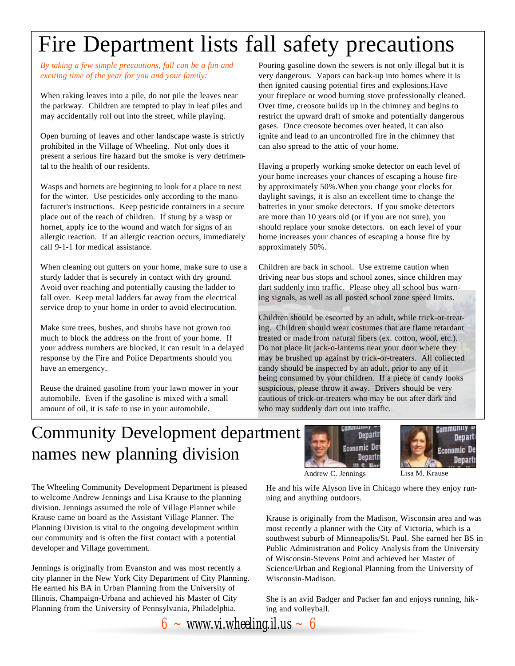# Fire Department lists fall safety precautions

*By taking a few simple precautions, fall can be a fun and exciting time of the year for you and your family:*

When raking leaves into a pile, do not pile the leaves near the parkway. Children are tempted to play in leaf piles and may accidentally roll out into the street, while playing.

Open burning of leaves and other landscape waste is strictly prohibited in the Village of Wheeling. Not only does it present a serious fire hazard but the smoke is very detrimental to the health of our residents.

Wasps and hornets are beginning to look for a place to nest for the winter. Use pesticides only according to the manufacturer's instructions. Keep pesticide containers in a secure place out of the reach of children. If stung by a wasp or hornet, apply ice to the wound and watch for signs of an allergic reaction. If an allergic reaction occurs, immediately call 9-1-1 for medical assistance.

When cleaning out gutters on your home, make sure to use a sturdy ladder that is securely in contact with dry ground. Avoid over reaching and potentially causing the ladder to fall over. Keep metal ladders far away from the electrical service drop to your home in order to avoid electrocution.

Make sure trees, bushes, and shrubs have not grown too much to block the address on the front of your home. If your address numbers are blocked, it can result in a delayed response by the Fire and Police Departments should you have an emergency.

Reuse the drained gasoline from your lawn mower in your automobile. Even if the gasoline is mixed with a small amount of oil, it is safe to use in your automobile.

Pouring gasoline down the sewers is not only illegal but it is very dangerous. Vapors can back-up into homes where it is then ignited causing potential fires and explosions.Have your fireplace or wood burning stove professionally cleaned. Over time, creosote builds up in the chimney and begins to restrict the upward draft of smoke and potentially dangerous gases. Once creosote becomes over heated, it can also ignite and lead to an uncontrolled fire in the chimney that can also spread to the attic of your home.

Having a properly working smoke detector on each level of your home increases your chances of escaping a house fire by approximately 50%.When you change your clocks for daylight savings, it is also an excellent time to change the batteries in your smoke detectors. If you smoke detectors are more than 10 years old (or if you are not sure), you should replace your smoke detectors. on each level of your home increases your chances of escaping a house fire by approximately 50%.

Children are back in school. Use extreme caution when driving near bus stops and school zones, since children may dart suddenly into traffic. Please obey all school bus warning signals, as well as all posted school zone speed limits.

Children should be escorted by an adult, while trick-or-treating. Children should wear costumes that are flame retardant treated or made from natural fibers (ex. cotton, wool, etc.). Do not place lit jack-o-lanterns near your door where they may be brushed up against by trick-or-treaters. All collected candy should be inspected by an adult, prior to any of it being consumed by your children. If a piece of candy looks suspicious, please throw it away. Drivers should be very cautious of trick-or-treaters who may be out after dark and who may suddenly dart out into traffic.

# Community Development department names new planning division





The Wheeling Community Development Department is pleased to welcome Andrew Jennings and Lisa Krause to the planning division. Jennings assumed the role of Village Planner while Krause came on board as the Assistant Village Planner. The Planning Division is vital to the ongoing development within our community and is often the first contact with a potential developer and Village government.

Jennings is originally from Evanston and was most recently a city planner in the New York City Department of City Planning. He earned his BA in Urban Planning from the University of Illinois, Champaign-Urbana and achieved his Master of City Planning from the University of Pennsylvania, Philadelphia.

He and his wife Alyson live in Chicago where they enjoy running and anything outdoors.

Krause is originally from the Madison, Wisconsin area and was most recently a planner with the City of Victoria, which is a southwest suburb of Minneapolis/St. Paul. She earned her BS in Public Administration and Policy Analysis from the University of Wisconsin-Stevens Point and achieved her Master of Science/Urban and Regional Planning from the University of Wisconsin-Madison.

She is an avid Badger and Packer fan and enjoys running, hiking and volleyball.

 $6 \sim$  *www.vi.wheeling.il.us*  $\sim 6$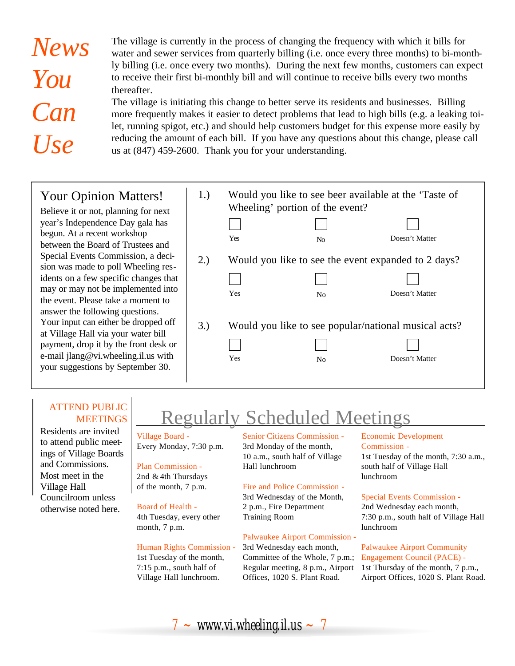# *News You Can Use*

The village is currently in the process of changing the frequency with which it bills for water and sewer services from quarterly billing (i.e. once every three months) to bi-monthly billing (i.e. once every two months). During the next few months, customers can expect to receive their first bi-monthly bill and will continue to receive bills every two months thereafter.

The village is initiating this change to better serve its residents and businesses. Billing more frequently makes it easier to detect problems that lead to high bills (e.g. a leaking toilet, running spigot, etc.) and should help customers budget for this expense more easily by reducing the amount of each bill. If you have any questions about this change, please call us at (847) 459-2600. Thank you for your understanding.

## Your Opinion Matters!

Believe it or not, planning for next year's Independence Day gala has begun. At a recent workshop between the Board of Trustees and Special Events Commission, a decision was made to poll Wheeling residents on a few specific changes that may or may not be implemented into the event. Please take a moment to answer the following questions. Your input can either be dropped off at Village Hall via your water bill payment, drop it by the front desk or e-mail jlang@vi.wheeling.il.us with your suggestions by September 30.

| 1.) | Would you like to see beer available at the 'Taste of<br>Wheeling' portion of the event?<br>Yes | No             | Doesn't Matter |
|-----|-------------------------------------------------------------------------------------------------|----------------|----------------|
| 2.) | Would you like to see the event expanded to 2 days?<br>Yes                                      | N <sub>0</sub> | Doesn't Matter |
| 3.  | Would you like to see popular/national musical acts?<br>Yes                                     | N <sub>0</sub> | Doesn't Matter |

## ATTEND PUBLIC MEETINGS

Residents are invited to attend public meetings of Village Boards and Commissions. Most meet in the Village Hall Councilroom unless otherwise noted here.

# Regularly Scheduled Meetings

#### Village Board - Every Monday, 7:30 p.m.

## Plan Commission -

2nd & 4th Thursdays of the month, 7 p.m.

## Board of Health -

4th Tuesday, every other month, 7 p.m.

#### Human Rights Commission -

1st Tuesday of the month, 7:15 p.m., south half of Village Hall lunchroom.

Senior Citizens Commission - 3rd Monday of the month, 10 a.m., south half of Village Hall lunchroom

## Fire and Police Commission -

3rd Wednesday of the Month, 2 p.m., Fire Department Training Room

#### Palwaukee Airport Commission -

3rd Wednesday each month, Committee of the Whole, 7 p.m.; Regular meeting, 8 p.m., Airport Offices, 1020 S. Plant Road.

#### Economic Development Commission -

1st Tuesday of the month, 7:30 a.m., south half of Village Hall lunchroom

#### Special Events Commission -

2nd Wednesday each month, 7:30 p.m., south half of Village Hall lunchroom

#### Palwaukee Airport Community Engagement Council (PACE) - 1st Thursday of the month, 7 p.m., Airport Offices, 1020 S. Plant Road.